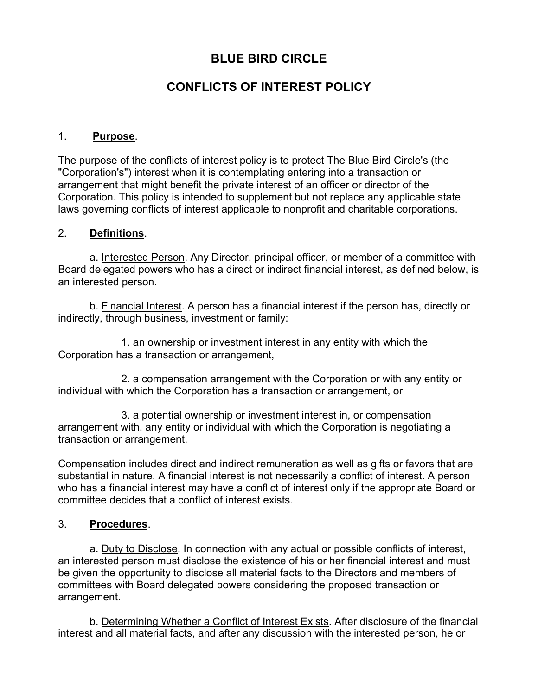# **BLUE BIRD CIRCLE**

# **CONFLICTS OF INTEREST POLICY**

### 1. **Purpose**.

The purpose of the conflicts of interest policy is to protect The Blue Bird Circle's (the "Corporation's") interest when it is contemplating entering into a transaction or arrangement that might benefit the private interest of an officer or director of the Corporation. This policy is intended to supplement but not replace any applicable state laws governing conflicts of interest applicable to nonprofit and charitable corporations.

### 2. **Definitions**.

a. Interested Person. Any Director, principal officer, or member of a committee with Board delegated powers who has a direct or indirect financial interest, as defined below, is an interested person.

b. Financial Interest. A person has a financial interest if the person has, directly or indirectly, through business, investment or family:

1. an ownership or investment interest in any entity with which the Corporation has a transaction or arrangement,

2. a compensation arrangement with the Corporation or with any entity or individual with which the Corporation has a transaction or arrangement, or

3. a potential ownership or investment interest in, or compensation arrangement with, any entity or individual with which the Corporation is negotiating a transaction or arrangement.

Compensation includes direct and indirect remuneration as well as gifts or favors that are substantial in nature. A financial interest is not necessarily a conflict of interest. A person who has a financial interest may have a conflict of interest only if the appropriate Board or committee decides that a conflict of interest exists.

## 3. **Procedures**.

a. Duty to Disclose. In connection with any actual or possible conflicts of interest, an interested person must disclose the existence of his or her financial interest and must be given the opportunity to disclose all material facts to the Directors and members of committees with Board delegated powers considering the proposed transaction or arrangement.

b. Determining Whether a Conflict of Interest Exists. After disclosure of the financial interest and all material facts, and after any discussion with the interested person, he or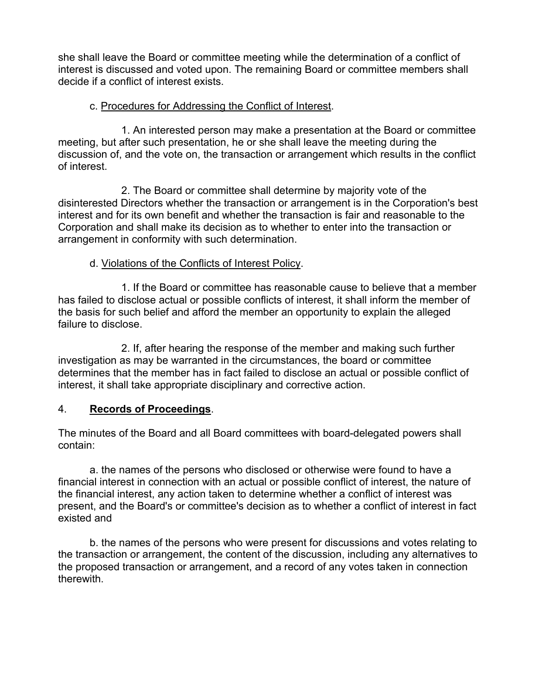she shall leave the Board or committee meeting while the determination of a conflict of interest is discussed and voted upon. The remaining Board or committee members shall decide if a conflict of interest exists.

## c. Procedures for Addressing the Conflict of Interest.

 1. An interested person may make a presentation at the Board or committee meeting, but after such presentation, he or she shall leave the meeting during the discussion of, and the vote on, the transaction or arrangement which results in the conflict of interest.

 2. The Board or committee shall determine by majority vote of the disinterested Directors whether the transaction or arrangement is in the Corporation's best interest and for its own benefit and whether the transaction is fair and reasonable to the Corporation and shall make its decision as to whether to enter into the transaction or arrangement in conformity with such determination.

## d. Violations of the Conflicts of Interest Policy.

 1. If the Board or committee has reasonable cause to believe that a member has failed to disclose actual or possible conflicts of interest, it shall inform the member of the basis for such belief and afford the member an opportunity to explain the alleged failure to disclose.

 2. If, after hearing the response of the member and making such further investigation as may be warranted in the circumstances, the board or committee determines that the member has in fact failed to disclose an actual or possible conflict of interest, it shall take appropriate disciplinary and corrective action.

# 4. **Records of Proceedings**.

The minutes of the Board and all Board committees with board-delegated powers shall contain:

a. the names of the persons who disclosed or otherwise were found to have a financial interest in connection with an actual or possible conflict of interest, the nature of the financial interest, any action taken to determine whether a conflict of interest was present, and the Board's or committee's decision as to whether a conflict of interest in fact existed and

b. the names of the persons who were present for discussions and votes relating to the transaction or arrangement, the content of the discussion, including any alternatives to the proposed transaction or arrangement, and a record of any votes taken in connection therewith.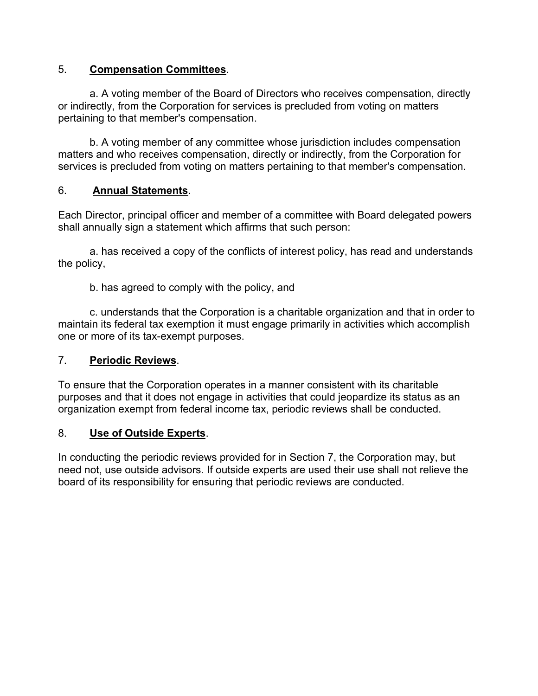## 5. **Compensation Committees**.

a. A voting member of the Board of Directors who receives compensation, directly or indirectly, from the Corporation for services is precluded from voting on matters pertaining to that member's compensation.

b. A voting member of any committee whose jurisdiction includes compensation matters and who receives compensation, directly or indirectly, from the Corporation for services is precluded from voting on matters pertaining to that member's compensation.

## 6. **Annual Statements**.

Each Director, principal officer and member of a committee with Board delegated powers shall annually sign a statement which affirms that such person:

a. has received a copy of the conflicts of interest policy, has read and understands the policy,

b. has agreed to comply with the policy, and

c. understands that the Corporation is a charitable organization and that in order to maintain its federal tax exemption it must engage primarily in activities which accomplish one or more of its tax-exempt purposes.

### 7. **Periodic Reviews**.

To ensure that the Corporation operates in a manner consistent with its charitable purposes and that it does not engage in activities that could jeopardize its status as an organization exempt from federal income tax, periodic reviews shall be conducted.

### 8. **Use of Outside Experts**.

In conducting the periodic reviews provided for in Section 7, the Corporation may, but need not, use outside advisors. If outside experts are used their use shall not relieve the board of its responsibility for ensuring that periodic reviews are conducted.